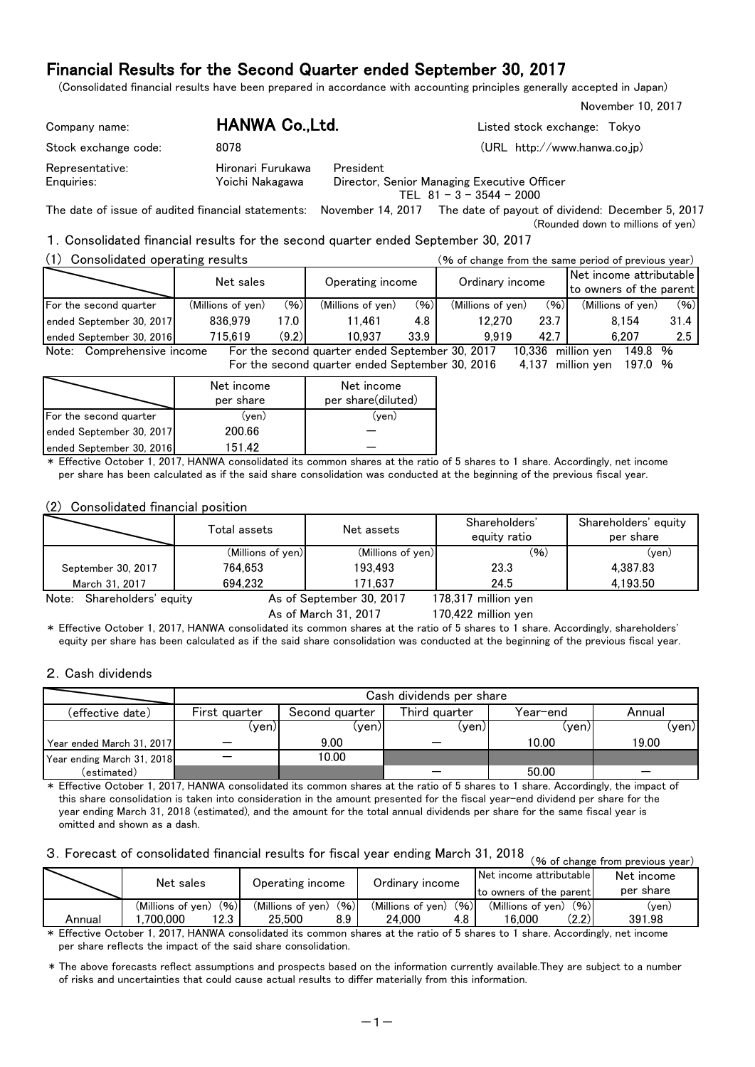(Consolidated financial results have been prepared in accordance with accounting principles generally accepted in Japan)

| Company name:                 | HANWA Co.,Ltd.                       |                                                                                        | Listed stock exchange: Tokyo |
|-------------------------------|--------------------------------------|----------------------------------------------------------------------------------------|------------------------------|
| Stock exchange code:          | 8078                                 |                                                                                        | (URL http://www.hanwa.co.jp) |
| Representative:<br>Enguiries: | Hironari Furukawa<br>Yoichi Nakagawa | President<br>Director, Senior Managing Executive Officer<br>TEL $81 - 3 - 3544 - 2000$ |                              |

The date of issue of audited financial statements: November 14, 2017 The date of payout of dividend: December 5, 2017 (Rounded down to millions of yen)

### 1.Consolidated financial results for the second quarter ended September 30, 2017

| (1)<br>Consolidated operating results |                   | (% of change from the same period of previous year) |                                                 |                 |                   |                                                    |                        |      |
|---------------------------------------|-------------------|-----------------------------------------------------|-------------------------------------------------|-----------------|-------------------|----------------------------------------------------|------------------------|------|
|                                       |                   | Operating income                                    |                                                 | Ordinary income |                   | Net income attributable<br>to owners of the parent |                        |      |
| For the second quarter                | (Millions of yen) | (96)                                                | (Millions of ven)                               | (96)            | (Millions of yen) | (96)                                               | (Millions of ven)      | (96) |
| ended September 30, 2017              | 836.979           | 17.0                                                | 11.461                                          | 4.8             | 12.270            | 23.7                                               | 8.154                  | 31.4 |
| ended September 30, 2016              | 715.619           | (9.2)                                               | 10.937                                          | 33.9            | 9.919             | 42.7                                               | 6.207                  | 2.5  |
| Note: Comprehensive income            |                   |                                                     | For the second quarter ended September 30, 2017 |                 |                   | 10.336                                             | million ven<br>149.8 % |      |
|                                       |                   |                                                     | For the second quarter ended September 30, 2016 |                 |                   | 4.137                                              | million ven<br>197.0 % |      |

|                          | Net income<br>per share | Net income<br>per share(diluted) |
|--------------------------|-------------------------|----------------------------------|
| For the second quarter   | (ven)                   | (ven)                            |
| ended September 30, 2017 | 200.66                  |                                  |
| ended September 30, 2016 | 151 42                  |                                  |

\* Effective October 1, 2017, HANWA consolidated its common shares at the ratio of 5 shares to 1 share. Accordingly, net income per share has been calculated as if the said share consolidation was conducted at the beginning of the previous fiscal year.

#### (2) Consolidated financial position

|                               | Total assets      | Net assets               | Shareholders'<br>equity ratio | Shareholders' equity<br>per share |
|-------------------------------|-------------------|--------------------------|-------------------------------|-----------------------------------|
|                               | (Millions of yen) | (Millions of yen)        | (96)                          | (ven)                             |
| September 30, 2017            | 764.653           | 193.493                  | 23.3                          | 4.387.83                          |
| March 31, 2017                | 694.232           | 171.637                  | 24.5                          | 4.193.50                          |
| Note:<br>Shareholders' equity |                   | As of September 30, 2017 | 178,317 million yen           |                                   |

As of March 31, 2017

170,422 million yen

November 10, 2017

\* Effective October 1, 2017, HANWA consolidated its common shares at the ratio of 5 shares to 1 share. Accordingly, shareholders' equity per share has been calculated as if the said share consolidation was conducted at the beginning of the previous fiscal year.

#### 2.Cash dividends

|                            |               | Cash dividends per share |               |          |        |  |  |  |  |  |
|----------------------------|---------------|--------------------------|---------------|----------|--------|--|--|--|--|--|
| (effective date)           | First quarter | Second quarter           | Third quarter | Year-end | Annual |  |  |  |  |  |
|                            | (yen)         | (ven)                    | (ven)         | (ven)    | (yen)  |  |  |  |  |  |
| Year ended March 31, 2017  |               | 9.00                     |               | 10.00    | 19.00  |  |  |  |  |  |
| Year ending March 31, 2018 |               | 10.00                    |               |          |        |  |  |  |  |  |
| (estimated)                |               |                          |               | 50.00    |        |  |  |  |  |  |

\* Effective October 1, 2017, HANWA consolidated its common shares at the ratio of 5 shares to 1 share. Accordingly, the impact of this share consolidation is taken into consideration in the amount presented for the fiscal year-end dividend per share for the year ending March 31, 2018 (estimated), and the amount for the total annual dividends per share for the same fiscal year is omitted and shown as a dash.

# 3. Forecast of consolidated financial results for fiscal year ending March 31, 2018 (% of change from previous year)

|        |                           |                           |                           |                           | , yo or change from previous year) |
|--------|---------------------------|---------------------------|---------------------------|---------------------------|------------------------------------|
|        | Net sales                 | Operating income          | Ordinary income           | Net income attributable   | Net income                         |
|        |                           |                           |                           | Ito owners of the parent  | per share                          |
|        | (96)<br>(Millions of ven) | (96)<br>(Millions of ven) | (96)<br>(Millions of ven) | (96)<br>(Millions of yen) | (ven)                              |
| Annual | .700.000<br>ו 2.3'        | 25.500<br>8.9             | 24.000<br>4.8             | (2.2)<br>16.000           | 391.98                             |

\* Effective October 1, 2017, HANWA consolidated its common shares at the ratio of 5 shares to 1 share. Accordingly, net income per share reflects the impact of the said share consolidation.

\* The above forecasts reflect assumptions and prospects based on the information currently available.They are subject to a number of risks and uncertainties that could cause actual results to differ materially from this information.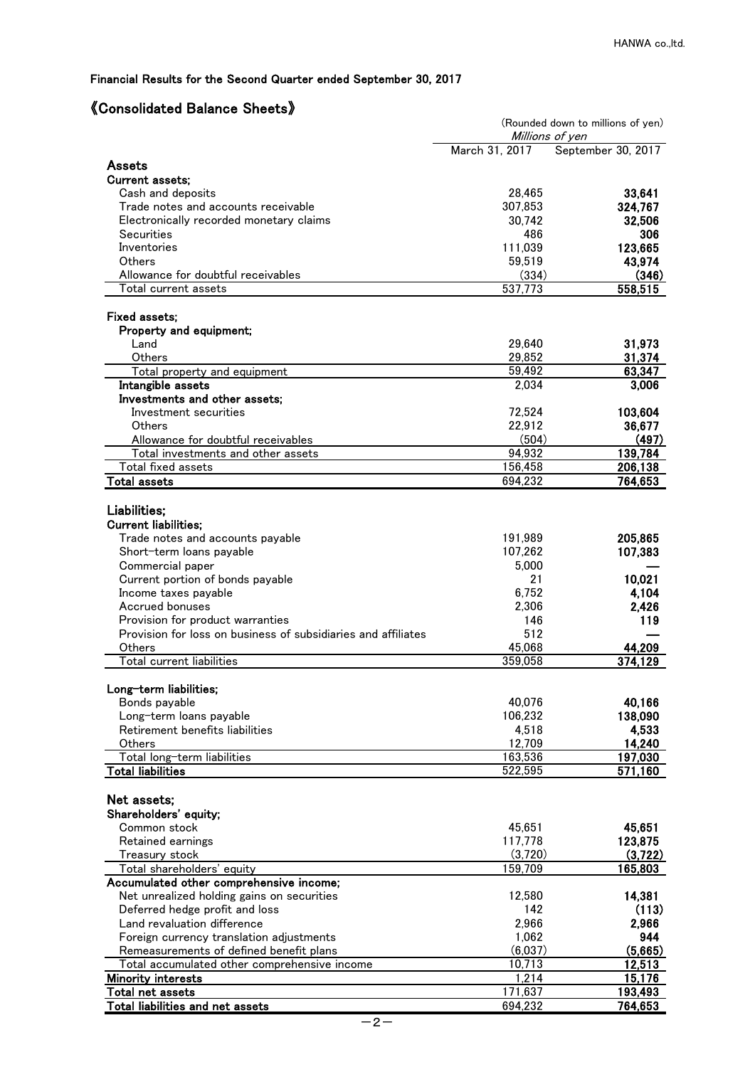# 《Consolidated Balance Sheets》

|                                                                              | (Rounded down to millions of yen)<br>Millions of yen |                    |  |  |  |
|------------------------------------------------------------------------------|------------------------------------------------------|--------------------|--|--|--|
|                                                                              | March 31, 2017                                       | September 30, 2017 |  |  |  |
| <b>Assets</b>                                                                |                                                      |                    |  |  |  |
| <b>Current assets;</b>                                                       |                                                      |                    |  |  |  |
| Cash and deposits<br>Trade notes and accounts receivable                     | 28,465<br>307,853                                    | 33,641<br>324,767  |  |  |  |
| Electronically recorded monetary claims                                      | 30.742                                               | 32,506             |  |  |  |
| Securities                                                                   | 486                                                  | 306                |  |  |  |
| Inventories                                                                  | 111,039                                              | 123,665            |  |  |  |
| <b>Others</b>                                                                | 59,519                                               | 43,974             |  |  |  |
| Allowance for doubtful receivables                                           | (334)                                                | (346)              |  |  |  |
| Total current assets                                                         | 537,773                                              | 558,515            |  |  |  |
| <b>Fixed assets:</b>                                                         |                                                      |                    |  |  |  |
| Property and equipment;                                                      |                                                      |                    |  |  |  |
| Land                                                                         | 29,640                                               | 31,973             |  |  |  |
| Others                                                                       | 29,852                                               | 31,374             |  |  |  |
| Total property and equipment                                                 | 59,492                                               | 63,347             |  |  |  |
| Intangible assets                                                            | 2,034                                                | 3,006              |  |  |  |
| Investments and other assets;                                                |                                                      |                    |  |  |  |
| Investment securities                                                        | 72,524                                               | 103,604            |  |  |  |
| Others                                                                       | 22,912                                               | 36,677             |  |  |  |
| Allowance for doubtful receivables<br>Total investments and other assets     | (504)<br>94,932                                      | (497)<br>139,784   |  |  |  |
| Total fixed assets                                                           | 156,458                                              | 206,138            |  |  |  |
| <b>Total assets</b>                                                          | 694,232                                              | 764,653            |  |  |  |
|                                                                              |                                                      |                    |  |  |  |
| Liabilities;                                                                 |                                                      |                    |  |  |  |
| <b>Current liabilities:</b>                                                  |                                                      |                    |  |  |  |
| Trade notes and accounts payable                                             | 191,989                                              | 205,865            |  |  |  |
| Short-term loans payable                                                     | 107,262                                              | 107,383            |  |  |  |
| Commercial paper                                                             | 5,000                                                |                    |  |  |  |
| Current portion of bonds payable                                             | 21                                                   | 10,021             |  |  |  |
| Income taxes payable<br>Accrued bonuses                                      | 6,752                                                | 4,104              |  |  |  |
| Provision for product warranties                                             | 2,306<br>146                                         | 2,426<br>119       |  |  |  |
| Provision for loss on business of subsidiaries and affiliates                | 512                                                  |                    |  |  |  |
| Others                                                                       | 45,068                                               | 44,209             |  |  |  |
| Total current liabilities                                                    | 359,058                                              | 374,129            |  |  |  |
|                                                                              |                                                      |                    |  |  |  |
| Long-term liabilities;                                                       |                                                      |                    |  |  |  |
| Bonds payable                                                                | 40,076                                               | 40,166             |  |  |  |
| Long-term loans payable                                                      | 106,232                                              | 138,090            |  |  |  |
| Retirement benefits liabilities<br>Others                                    | 4,518<br>12,709                                      | 4,533<br>14,240    |  |  |  |
| Total long-term liabilities                                                  | 163,536                                              | 197,030            |  |  |  |
| <b>Total liabilities</b>                                                     | 522,595                                              | 571,160            |  |  |  |
|                                                                              |                                                      |                    |  |  |  |
| Net assets;                                                                  |                                                      |                    |  |  |  |
| Shareholders' equity;                                                        |                                                      |                    |  |  |  |
| Common stock                                                                 | 45,651                                               | 45,651             |  |  |  |
| Retained earnings                                                            | 117,778                                              | 123,875            |  |  |  |
| Treasury stock                                                               | (3,720)                                              | (3,722)            |  |  |  |
| Total shareholders' equity                                                   | 159,709                                              | 165,803            |  |  |  |
| Accumulated other comprehensive income;                                      |                                                      |                    |  |  |  |
| Net unrealized holding gains on securities<br>Deferred hedge profit and loss | 12,580<br>142                                        | 14,381<br>(113)    |  |  |  |
| Land revaluation difference                                                  | 2,966                                                | 2,966              |  |  |  |
| Foreign currency translation adjustments                                     | 1,062                                                | 944                |  |  |  |
| Remeasurements of defined benefit plans                                      | (6,037)                                              | (5,665)            |  |  |  |
| Total accumulated other comprehensive income                                 | 10,713                                               | 12,513             |  |  |  |
| <b>Minority interests</b>                                                    | 1,214                                                | 15,176             |  |  |  |
| Total net assets                                                             | 171,637                                              | 193,493            |  |  |  |
| <b>Total liabilities and net assets</b>                                      | 694,232                                              | 764,653            |  |  |  |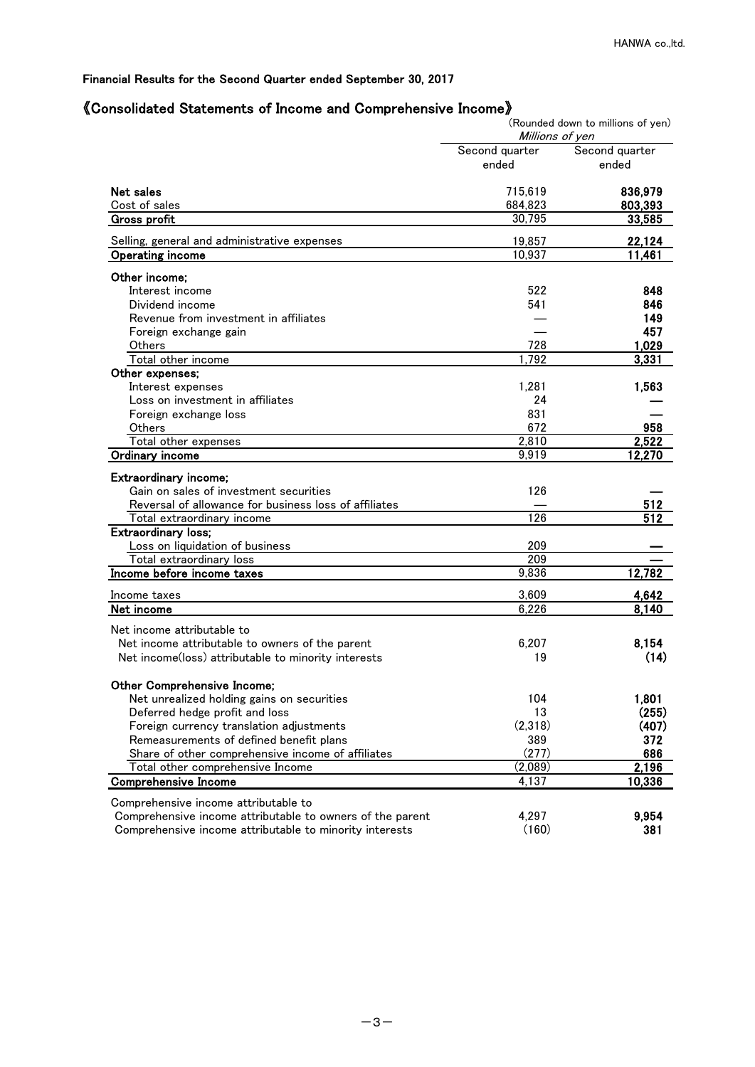# 《Consolidated Statements of Income and Comprehensive Income》

|                                                                                                   | Millions of ven         | (Rounded down to millions of yen) |
|---------------------------------------------------------------------------------------------------|-------------------------|-----------------------------------|
|                                                                                                   | Second quarter<br>ended | Second quarter<br>ended           |
| Net sales                                                                                         | 715,619                 | 836,979                           |
| Cost of sales                                                                                     | 684,823                 | 803,393                           |
| <b>Gross profit</b>                                                                               | 30,795                  | 33,585                            |
| Selling, general and administrative expenses                                                      | 19,857                  | 22,124                            |
| Operating income                                                                                  | 10,937                  | 11,461                            |
| Other income:                                                                                     |                         |                                   |
| Interest income                                                                                   | 522                     | 848                               |
| Dividend income                                                                                   | 541                     | 846                               |
| Revenue from investment in affiliates                                                             |                         | 149                               |
| Foreign exchange gain                                                                             |                         | 457                               |
| Others                                                                                            | 728                     | 1,029                             |
| Total other income                                                                                | 1,792                   | 3,331                             |
| Other expenses;                                                                                   |                         |                                   |
| Interest expenses                                                                                 | 1.281                   | 1,563                             |
| Loss on investment in affiliates                                                                  | 24                      |                                   |
| Foreign exchange loss                                                                             | 831                     |                                   |
| Others                                                                                            | 672                     | 958                               |
| Total other expenses                                                                              | 2,810                   | 2,522                             |
| Ordinary income                                                                                   | 9,919                   | 12,270                            |
|                                                                                                   |                         |                                   |
| Extraordinary income;                                                                             |                         |                                   |
| Gain on sales of investment securities                                                            | 126                     |                                   |
| Reversal of allowance for business loss of affiliates                                             |                         | 512                               |
| Total extraordinary income                                                                        | 126                     | 512                               |
| <b>Extraordinary loss;</b>                                                                        |                         |                                   |
| Loss on liquidation of business                                                                   | 209                     |                                   |
| Total extraordinary loss                                                                          | 209                     |                                   |
| Income before income taxes                                                                        | 9,836                   | 12,782                            |
| Income taxes                                                                                      | 3,609                   | 4,642                             |
| Net income                                                                                        | 6,226                   | 8,140                             |
| Net income attributable to                                                                        |                         |                                   |
| Net income attributable to owners of the parent                                                   | 6,207                   | 8,154                             |
| Net income(loss) attributable to minority interests                                               | 19                      | (14)                              |
|                                                                                                   |                         |                                   |
| Other Comprehensive Income;                                                                       |                         |                                   |
| Net unrealized holding gains on securities                                                        | 104                     | 1,801                             |
| Deferred hedge profit and loss                                                                    | 13                      | (255)                             |
| Foreign currency translation adjustments                                                          | (2,318)                 | (407)                             |
| Remeasurements of defined benefit plans                                                           | 389                     | 372                               |
| Share of other comprehensive income of affiliates                                                 | (277)                   | 686                               |
| Total other comprehensive Income                                                                  | (2,089)                 | 2,196                             |
| <b>Comprehensive Income</b>                                                                       | 4,137                   | 10,336                            |
|                                                                                                   |                         |                                   |
| Comprehensive income attributable to<br>Comprehensive income attributable to owners of the parent | 4,297                   | 9,954                             |
| Comprehensive income attributable to minority interests                                           | (160)                   | 381                               |
|                                                                                                   |                         |                                   |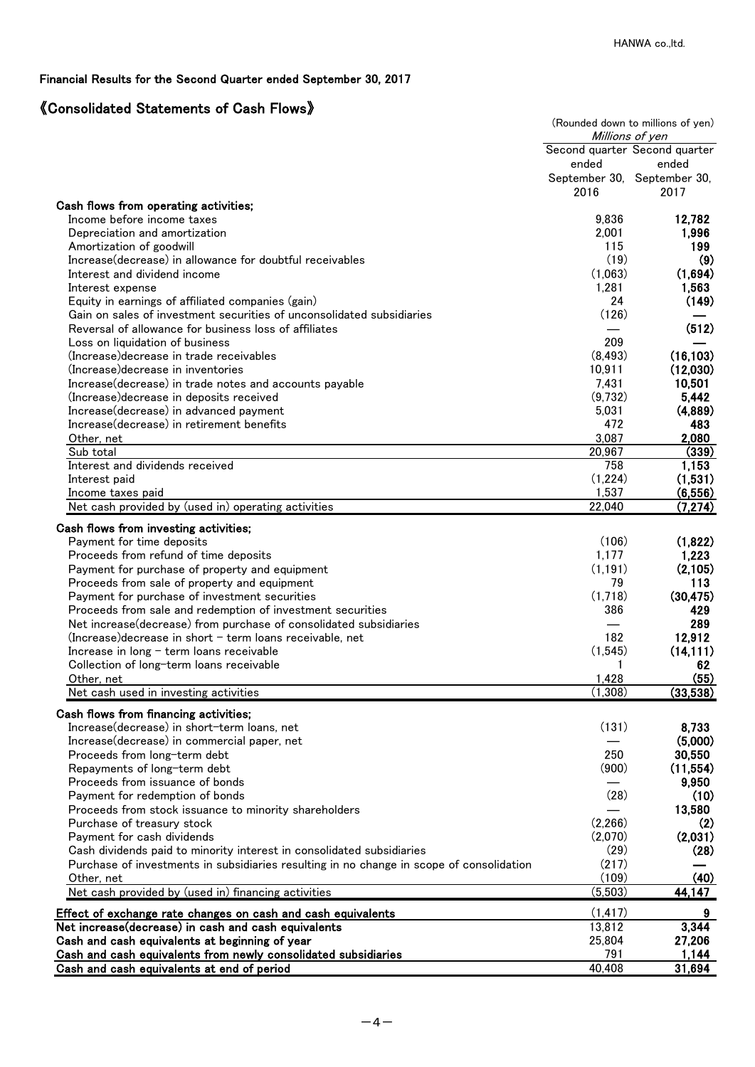# 《Consolidated Statements of Cash Flows》

| Second quarter Second quarter<br>ended<br>ended<br>September 30, September 30,<br>2016<br>2017<br>Cash flows from operating activities;<br>9,836<br>12,782<br>Income before income taxes<br>2,001<br>1,996<br>Depreciation and amortization<br>115<br>199<br>Amortization of goodwill<br>(19)<br>Increase (decrease) in allowance for doubtful receivables<br>(1,063)<br>(1,694)<br>Interest and dividend income<br>1,281<br>1,563<br>Interest expense<br>24<br>(149)<br>Equity in earnings of affiliated companies (gain)<br>(126)<br>Gain on sales of investment securities of unconsolidated subsidiaries<br>(512)<br>Reversal of allowance for business loss of affiliates<br>209<br>Loss on liquidation of business<br>(16, 103)<br>(8, 493)<br>(Increase) decrease in trade receivables<br>10,911<br>(12,030)<br>(Increase) decrease in inventories<br>7,431<br>10,501<br>Increase(decrease) in trade notes and accounts payable<br>5,442<br>(9,732)<br>(Increase) decrease in deposits received<br>5,031<br>(4,889)<br>Increase(decrease) in advanced payment<br>472<br>483<br>Increase(decrease) in retirement benefits<br>3,087<br>2,080<br>Other, net<br>20,967<br>Sub total<br>(339)<br>Interest and dividends received<br>758<br>1,153<br>(1,224)<br>(1,531)<br>Interest paid<br>1,537<br><u>Income taxes paid</u><br>22,040<br>Net cash provided by (used in) operating activities<br>(7, 274)<br>Cash flows from investing activities;<br>(106)<br>(1,822)<br>Payment for time deposits<br>1,177<br>Proceeds from refund of time deposits<br>1,223<br>(1, 191)<br>(2,105)<br>Payment for purchase of property and equipment<br>79<br>113<br>Proceeds from sale of property and equipment<br>(1,718)<br>(30, 475)<br>Payment for purchase of investment securities<br>386<br>Proceeds from sale and redemption of investment securities<br>429<br>289<br>Net increase (decrease) from purchase of consolidated subsidiaries<br>182<br>12,912<br>$(Increase)$ decrease in short $-$ term loans receivable, net<br>(1, 545)<br>(14, 111)<br>Increase in $long$ – term loans receivable<br>62<br>Collection of long-term loans receivable<br>(55)<br>1,428<br>Other, net<br>(1,308)<br>(33,538)<br>Net cash used in investing activities<br>Cash flows from financing activities;<br>(131)<br>Increase(decrease) in short-term loans, net<br>8,733<br>(5,000)<br>Increase(decrease) in commercial paper, net<br>250<br>30,550<br>Proceeds from long-term debt<br>(900)<br>(11, 554)<br>Repayments of long-term debt<br>9,950<br>Proceeds from issuance of bonds<br>(28)<br>(10)<br>Payment for redemption of bonds<br>13,580<br>Proceeds from stock issuance to minority shareholders<br>(2,266)<br>(2)<br>Purchase of treasury stock<br>(2,070)<br>(2,031)<br>Payment for cash dividends<br>(29)<br>(28)<br>Cash dividends paid to minority interest in consolidated subsidiaries<br>(217)<br>Purchase of investments in subsidiaries resulting in no change in scope of consolidation<br>(109)<br>(40)<br>Other, net<br>Net cash provided by (used in) financing activities<br>(5,503)<br>44,147<br>(1, 417)<br>9<br>Effect of exchange rate changes on cash and cash equivalents<br>3,344<br>13,812<br>Net increase(decrease) in cash and cash equivalents<br>25,804<br>27,206<br>Cash and cash equivalents at beginning of year<br>791<br>1,144<br>Cash and cash equivalents from newly consolidated subsidiaries<br>40,408<br>31,694<br>Cash and cash equivalents at end of period |  | (Rounded down to millions of yen)<br>Millions of yen |
|---------------------------------------------------------------------------------------------------------------------------------------------------------------------------------------------------------------------------------------------------------------------------------------------------------------------------------------------------------------------------------------------------------------------------------------------------------------------------------------------------------------------------------------------------------------------------------------------------------------------------------------------------------------------------------------------------------------------------------------------------------------------------------------------------------------------------------------------------------------------------------------------------------------------------------------------------------------------------------------------------------------------------------------------------------------------------------------------------------------------------------------------------------------------------------------------------------------------------------------------------------------------------------------------------------------------------------------------------------------------------------------------------------------------------------------------------------------------------------------------------------------------------------------------------------------------------------------------------------------------------------------------------------------------------------------------------------------------------------------------------------------------------------------------------------------------------------------------------------------------------------------------------------------------------------------------------------------------------------------------------------------------------------------------------------------------------------------------------------------------------------------------------------------------------------------------------------------------------------------------------------------------------------------------------------------------------------------------------------------------------------------------------------------------------------------------------------------------------------------------------------------------------------------------------------------------------------------------------------------------------------------------------------------------------------------------------------------------------------------------------------------------------------------------------------------------------------------------------------------------------------------------------------------------------------------------------------------------------------------------------------------------------------------------------------------------------------------------------------------------------------------------------------------------------------------------------------------------------------------------------------------------------------------------------------------------------------------------------------------------------------------------------------------------------------------------------------------------------------------------------|--|------------------------------------------------------|
|                                                                                                                                                                                                                                                                                                                                                                                                                                                                                                                                                                                                                                                                                                                                                                                                                                                                                                                                                                                                                                                                                                                                                                                                                                                                                                                                                                                                                                                                                                                                                                                                                                                                                                                                                                                                                                                                                                                                                                                                                                                                                                                                                                                                                                                                                                                                                                                                                                                                                                                                                                                                                                                                                                                                                                                                                                                                                                                                                                                                                                                                                                                                                                                                                                                                                                                                                                                                                                                                                                   |  |                                                      |
|                                                                                                                                                                                                                                                                                                                                                                                                                                                                                                                                                                                                                                                                                                                                                                                                                                                                                                                                                                                                                                                                                                                                                                                                                                                                                                                                                                                                                                                                                                                                                                                                                                                                                                                                                                                                                                                                                                                                                                                                                                                                                                                                                                                                                                                                                                                                                                                                                                                                                                                                                                                                                                                                                                                                                                                                                                                                                                                                                                                                                                                                                                                                                                                                                                                                                                                                                                                                                                                                                                   |  |                                                      |
|                                                                                                                                                                                                                                                                                                                                                                                                                                                                                                                                                                                                                                                                                                                                                                                                                                                                                                                                                                                                                                                                                                                                                                                                                                                                                                                                                                                                                                                                                                                                                                                                                                                                                                                                                                                                                                                                                                                                                                                                                                                                                                                                                                                                                                                                                                                                                                                                                                                                                                                                                                                                                                                                                                                                                                                                                                                                                                                                                                                                                                                                                                                                                                                                                                                                                                                                                                                                                                                                                                   |  |                                                      |
|                                                                                                                                                                                                                                                                                                                                                                                                                                                                                                                                                                                                                                                                                                                                                                                                                                                                                                                                                                                                                                                                                                                                                                                                                                                                                                                                                                                                                                                                                                                                                                                                                                                                                                                                                                                                                                                                                                                                                                                                                                                                                                                                                                                                                                                                                                                                                                                                                                                                                                                                                                                                                                                                                                                                                                                                                                                                                                                                                                                                                                                                                                                                                                                                                                                                                                                                                                                                                                                                                                   |  |                                                      |
|                                                                                                                                                                                                                                                                                                                                                                                                                                                                                                                                                                                                                                                                                                                                                                                                                                                                                                                                                                                                                                                                                                                                                                                                                                                                                                                                                                                                                                                                                                                                                                                                                                                                                                                                                                                                                                                                                                                                                                                                                                                                                                                                                                                                                                                                                                                                                                                                                                                                                                                                                                                                                                                                                                                                                                                                                                                                                                                                                                                                                                                                                                                                                                                                                                                                                                                                                                                                                                                                                                   |  |                                                      |
|                                                                                                                                                                                                                                                                                                                                                                                                                                                                                                                                                                                                                                                                                                                                                                                                                                                                                                                                                                                                                                                                                                                                                                                                                                                                                                                                                                                                                                                                                                                                                                                                                                                                                                                                                                                                                                                                                                                                                                                                                                                                                                                                                                                                                                                                                                                                                                                                                                                                                                                                                                                                                                                                                                                                                                                                                                                                                                                                                                                                                                                                                                                                                                                                                                                                                                                                                                                                                                                                                                   |  |                                                      |
|                                                                                                                                                                                                                                                                                                                                                                                                                                                                                                                                                                                                                                                                                                                                                                                                                                                                                                                                                                                                                                                                                                                                                                                                                                                                                                                                                                                                                                                                                                                                                                                                                                                                                                                                                                                                                                                                                                                                                                                                                                                                                                                                                                                                                                                                                                                                                                                                                                                                                                                                                                                                                                                                                                                                                                                                                                                                                                                                                                                                                                                                                                                                                                                                                                                                                                                                                                                                                                                                                                   |  | (9)                                                  |
|                                                                                                                                                                                                                                                                                                                                                                                                                                                                                                                                                                                                                                                                                                                                                                                                                                                                                                                                                                                                                                                                                                                                                                                                                                                                                                                                                                                                                                                                                                                                                                                                                                                                                                                                                                                                                                                                                                                                                                                                                                                                                                                                                                                                                                                                                                                                                                                                                                                                                                                                                                                                                                                                                                                                                                                                                                                                                                                                                                                                                                                                                                                                                                                                                                                                                                                                                                                                                                                                                                   |  |                                                      |
|                                                                                                                                                                                                                                                                                                                                                                                                                                                                                                                                                                                                                                                                                                                                                                                                                                                                                                                                                                                                                                                                                                                                                                                                                                                                                                                                                                                                                                                                                                                                                                                                                                                                                                                                                                                                                                                                                                                                                                                                                                                                                                                                                                                                                                                                                                                                                                                                                                                                                                                                                                                                                                                                                                                                                                                                                                                                                                                                                                                                                                                                                                                                                                                                                                                                                                                                                                                                                                                                                                   |  |                                                      |
|                                                                                                                                                                                                                                                                                                                                                                                                                                                                                                                                                                                                                                                                                                                                                                                                                                                                                                                                                                                                                                                                                                                                                                                                                                                                                                                                                                                                                                                                                                                                                                                                                                                                                                                                                                                                                                                                                                                                                                                                                                                                                                                                                                                                                                                                                                                                                                                                                                                                                                                                                                                                                                                                                                                                                                                                                                                                                                                                                                                                                                                                                                                                                                                                                                                                                                                                                                                                                                                                                                   |  |                                                      |
|                                                                                                                                                                                                                                                                                                                                                                                                                                                                                                                                                                                                                                                                                                                                                                                                                                                                                                                                                                                                                                                                                                                                                                                                                                                                                                                                                                                                                                                                                                                                                                                                                                                                                                                                                                                                                                                                                                                                                                                                                                                                                                                                                                                                                                                                                                                                                                                                                                                                                                                                                                                                                                                                                                                                                                                                                                                                                                                                                                                                                                                                                                                                                                                                                                                                                                                                                                                                                                                                                                   |  |                                                      |
|                                                                                                                                                                                                                                                                                                                                                                                                                                                                                                                                                                                                                                                                                                                                                                                                                                                                                                                                                                                                                                                                                                                                                                                                                                                                                                                                                                                                                                                                                                                                                                                                                                                                                                                                                                                                                                                                                                                                                                                                                                                                                                                                                                                                                                                                                                                                                                                                                                                                                                                                                                                                                                                                                                                                                                                                                                                                                                                                                                                                                                                                                                                                                                                                                                                                                                                                                                                                                                                                                                   |  |                                                      |
|                                                                                                                                                                                                                                                                                                                                                                                                                                                                                                                                                                                                                                                                                                                                                                                                                                                                                                                                                                                                                                                                                                                                                                                                                                                                                                                                                                                                                                                                                                                                                                                                                                                                                                                                                                                                                                                                                                                                                                                                                                                                                                                                                                                                                                                                                                                                                                                                                                                                                                                                                                                                                                                                                                                                                                                                                                                                                                                                                                                                                                                                                                                                                                                                                                                                                                                                                                                                                                                                                                   |  |                                                      |
|                                                                                                                                                                                                                                                                                                                                                                                                                                                                                                                                                                                                                                                                                                                                                                                                                                                                                                                                                                                                                                                                                                                                                                                                                                                                                                                                                                                                                                                                                                                                                                                                                                                                                                                                                                                                                                                                                                                                                                                                                                                                                                                                                                                                                                                                                                                                                                                                                                                                                                                                                                                                                                                                                                                                                                                                                                                                                                                                                                                                                                                                                                                                                                                                                                                                                                                                                                                                                                                                                                   |  |                                                      |
|                                                                                                                                                                                                                                                                                                                                                                                                                                                                                                                                                                                                                                                                                                                                                                                                                                                                                                                                                                                                                                                                                                                                                                                                                                                                                                                                                                                                                                                                                                                                                                                                                                                                                                                                                                                                                                                                                                                                                                                                                                                                                                                                                                                                                                                                                                                                                                                                                                                                                                                                                                                                                                                                                                                                                                                                                                                                                                                                                                                                                                                                                                                                                                                                                                                                                                                                                                                                                                                                                                   |  |                                                      |
|                                                                                                                                                                                                                                                                                                                                                                                                                                                                                                                                                                                                                                                                                                                                                                                                                                                                                                                                                                                                                                                                                                                                                                                                                                                                                                                                                                                                                                                                                                                                                                                                                                                                                                                                                                                                                                                                                                                                                                                                                                                                                                                                                                                                                                                                                                                                                                                                                                                                                                                                                                                                                                                                                                                                                                                                                                                                                                                                                                                                                                                                                                                                                                                                                                                                                                                                                                                                                                                                                                   |  |                                                      |
|                                                                                                                                                                                                                                                                                                                                                                                                                                                                                                                                                                                                                                                                                                                                                                                                                                                                                                                                                                                                                                                                                                                                                                                                                                                                                                                                                                                                                                                                                                                                                                                                                                                                                                                                                                                                                                                                                                                                                                                                                                                                                                                                                                                                                                                                                                                                                                                                                                                                                                                                                                                                                                                                                                                                                                                                                                                                                                                                                                                                                                                                                                                                                                                                                                                                                                                                                                                                                                                                                                   |  |                                                      |
|                                                                                                                                                                                                                                                                                                                                                                                                                                                                                                                                                                                                                                                                                                                                                                                                                                                                                                                                                                                                                                                                                                                                                                                                                                                                                                                                                                                                                                                                                                                                                                                                                                                                                                                                                                                                                                                                                                                                                                                                                                                                                                                                                                                                                                                                                                                                                                                                                                                                                                                                                                                                                                                                                                                                                                                                                                                                                                                                                                                                                                                                                                                                                                                                                                                                                                                                                                                                                                                                                                   |  |                                                      |
|                                                                                                                                                                                                                                                                                                                                                                                                                                                                                                                                                                                                                                                                                                                                                                                                                                                                                                                                                                                                                                                                                                                                                                                                                                                                                                                                                                                                                                                                                                                                                                                                                                                                                                                                                                                                                                                                                                                                                                                                                                                                                                                                                                                                                                                                                                                                                                                                                                                                                                                                                                                                                                                                                                                                                                                                                                                                                                                                                                                                                                                                                                                                                                                                                                                                                                                                                                                                                                                                                                   |  |                                                      |
|                                                                                                                                                                                                                                                                                                                                                                                                                                                                                                                                                                                                                                                                                                                                                                                                                                                                                                                                                                                                                                                                                                                                                                                                                                                                                                                                                                                                                                                                                                                                                                                                                                                                                                                                                                                                                                                                                                                                                                                                                                                                                                                                                                                                                                                                                                                                                                                                                                                                                                                                                                                                                                                                                                                                                                                                                                                                                                                                                                                                                                                                                                                                                                                                                                                                                                                                                                                                                                                                                                   |  |                                                      |
|                                                                                                                                                                                                                                                                                                                                                                                                                                                                                                                                                                                                                                                                                                                                                                                                                                                                                                                                                                                                                                                                                                                                                                                                                                                                                                                                                                                                                                                                                                                                                                                                                                                                                                                                                                                                                                                                                                                                                                                                                                                                                                                                                                                                                                                                                                                                                                                                                                                                                                                                                                                                                                                                                                                                                                                                                                                                                                                                                                                                                                                                                                                                                                                                                                                                                                                                                                                                                                                                                                   |  |                                                      |
|                                                                                                                                                                                                                                                                                                                                                                                                                                                                                                                                                                                                                                                                                                                                                                                                                                                                                                                                                                                                                                                                                                                                                                                                                                                                                                                                                                                                                                                                                                                                                                                                                                                                                                                                                                                                                                                                                                                                                                                                                                                                                                                                                                                                                                                                                                                                                                                                                                                                                                                                                                                                                                                                                                                                                                                                                                                                                                                                                                                                                                                                                                                                                                                                                                                                                                                                                                                                                                                                                                   |  | (6, 556)                                             |
|                                                                                                                                                                                                                                                                                                                                                                                                                                                                                                                                                                                                                                                                                                                                                                                                                                                                                                                                                                                                                                                                                                                                                                                                                                                                                                                                                                                                                                                                                                                                                                                                                                                                                                                                                                                                                                                                                                                                                                                                                                                                                                                                                                                                                                                                                                                                                                                                                                                                                                                                                                                                                                                                                                                                                                                                                                                                                                                                                                                                                                                                                                                                                                                                                                                                                                                                                                                                                                                                                                   |  |                                                      |
|                                                                                                                                                                                                                                                                                                                                                                                                                                                                                                                                                                                                                                                                                                                                                                                                                                                                                                                                                                                                                                                                                                                                                                                                                                                                                                                                                                                                                                                                                                                                                                                                                                                                                                                                                                                                                                                                                                                                                                                                                                                                                                                                                                                                                                                                                                                                                                                                                                                                                                                                                                                                                                                                                                                                                                                                                                                                                                                                                                                                                                                                                                                                                                                                                                                                                                                                                                                                                                                                                                   |  |                                                      |
|                                                                                                                                                                                                                                                                                                                                                                                                                                                                                                                                                                                                                                                                                                                                                                                                                                                                                                                                                                                                                                                                                                                                                                                                                                                                                                                                                                                                                                                                                                                                                                                                                                                                                                                                                                                                                                                                                                                                                                                                                                                                                                                                                                                                                                                                                                                                                                                                                                                                                                                                                                                                                                                                                                                                                                                                                                                                                                                                                                                                                                                                                                                                                                                                                                                                                                                                                                                                                                                                                                   |  |                                                      |
|                                                                                                                                                                                                                                                                                                                                                                                                                                                                                                                                                                                                                                                                                                                                                                                                                                                                                                                                                                                                                                                                                                                                                                                                                                                                                                                                                                                                                                                                                                                                                                                                                                                                                                                                                                                                                                                                                                                                                                                                                                                                                                                                                                                                                                                                                                                                                                                                                                                                                                                                                                                                                                                                                                                                                                                                                                                                                                                                                                                                                                                                                                                                                                                                                                                                                                                                                                                                                                                                                                   |  |                                                      |
|                                                                                                                                                                                                                                                                                                                                                                                                                                                                                                                                                                                                                                                                                                                                                                                                                                                                                                                                                                                                                                                                                                                                                                                                                                                                                                                                                                                                                                                                                                                                                                                                                                                                                                                                                                                                                                                                                                                                                                                                                                                                                                                                                                                                                                                                                                                                                                                                                                                                                                                                                                                                                                                                                                                                                                                                                                                                                                                                                                                                                                                                                                                                                                                                                                                                                                                                                                                                                                                                                                   |  |                                                      |
|                                                                                                                                                                                                                                                                                                                                                                                                                                                                                                                                                                                                                                                                                                                                                                                                                                                                                                                                                                                                                                                                                                                                                                                                                                                                                                                                                                                                                                                                                                                                                                                                                                                                                                                                                                                                                                                                                                                                                                                                                                                                                                                                                                                                                                                                                                                                                                                                                                                                                                                                                                                                                                                                                                                                                                                                                                                                                                                                                                                                                                                                                                                                                                                                                                                                                                                                                                                                                                                                                                   |  |                                                      |
|                                                                                                                                                                                                                                                                                                                                                                                                                                                                                                                                                                                                                                                                                                                                                                                                                                                                                                                                                                                                                                                                                                                                                                                                                                                                                                                                                                                                                                                                                                                                                                                                                                                                                                                                                                                                                                                                                                                                                                                                                                                                                                                                                                                                                                                                                                                                                                                                                                                                                                                                                                                                                                                                                                                                                                                                                                                                                                                                                                                                                                                                                                                                                                                                                                                                                                                                                                                                                                                                                                   |  |                                                      |
|                                                                                                                                                                                                                                                                                                                                                                                                                                                                                                                                                                                                                                                                                                                                                                                                                                                                                                                                                                                                                                                                                                                                                                                                                                                                                                                                                                                                                                                                                                                                                                                                                                                                                                                                                                                                                                                                                                                                                                                                                                                                                                                                                                                                                                                                                                                                                                                                                                                                                                                                                                                                                                                                                                                                                                                                                                                                                                                                                                                                                                                                                                                                                                                                                                                                                                                                                                                                                                                                                                   |  |                                                      |
|                                                                                                                                                                                                                                                                                                                                                                                                                                                                                                                                                                                                                                                                                                                                                                                                                                                                                                                                                                                                                                                                                                                                                                                                                                                                                                                                                                                                                                                                                                                                                                                                                                                                                                                                                                                                                                                                                                                                                                                                                                                                                                                                                                                                                                                                                                                                                                                                                                                                                                                                                                                                                                                                                                                                                                                                                                                                                                                                                                                                                                                                                                                                                                                                                                                                                                                                                                                                                                                                                                   |  |                                                      |
|                                                                                                                                                                                                                                                                                                                                                                                                                                                                                                                                                                                                                                                                                                                                                                                                                                                                                                                                                                                                                                                                                                                                                                                                                                                                                                                                                                                                                                                                                                                                                                                                                                                                                                                                                                                                                                                                                                                                                                                                                                                                                                                                                                                                                                                                                                                                                                                                                                                                                                                                                                                                                                                                                                                                                                                                                                                                                                                                                                                                                                                                                                                                                                                                                                                                                                                                                                                                                                                                                                   |  |                                                      |
|                                                                                                                                                                                                                                                                                                                                                                                                                                                                                                                                                                                                                                                                                                                                                                                                                                                                                                                                                                                                                                                                                                                                                                                                                                                                                                                                                                                                                                                                                                                                                                                                                                                                                                                                                                                                                                                                                                                                                                                                                                                                                                                                                                                                                                                                                                                                                                                                                                                                                                                                                                                                                                                                                                                                                                                                                                                                                                                                                                                                                                                                                                                                                                                                                                                                                                                                                                                                                                                                                                   |  |                                                      |
|                                                                                                                                                                                                                                                                                                                                                                                                                                                                                                                                                                                                                                                                                                                                                                                                                                                                                                                                                                                                                                                                                                                                                                                                                                                                                                                                                                                                                                                                                                                                                                                                                                                                                                                                                                                                                                                                                                                                                                                                                                                                                                                                                                                                                                                                                                                                                                                                                                                                                                                                                                                                                                                                                                                                                                                                                                                                                                                                                                                                                                                                                                                                                                                                                                                                                                                                                                                                                                                                                                   |  |                                                      |
|                                                                                                                                                                                                                                                                                                                                                                                                                                                                                                                                                                                                                                                                                                                                                                                                                                                                                                                                                                                                                                                                                                                                                                                                                                                                                                                                                                                                                                                                                                                                                                                                                                                                                                                                                                                                                                                                                                                                                                                                                                                                                                                                                                                                                                                                                                                                                                                                                                                                                                                                                                                                                                                                                                                                                                                                                                                                                                                                                                                                                                                                                                                                                                                                                                                                                                                                                                                                                                                                                                   |  |                                                      |
|                                                                                                                                                                                                                                                                                                                                                                                                                                                                                                                                                                                                                                                                                                                                                                                                                                                                                                                                                                                                                                                                                                                                                                                                                                                                                                                                                                                                                                                                                                                                                                                                                                                                                                                                                                                                                                                                                                                                                                                                                                                                                                                                                                                                                                                                                                                                                                                                                                                                                                                                                                                                                                                                                                                                                                                                                                                                                                                                                                                                                                                                                                                                                                                                                                                                                                                                                                                                                                                                                                   |  |                                                      |
|                                                                                                                                                                                                                                                                                                                                                                                                                                                                                                                                                                                                                                                                                                                                                                                                                                                                                                                                                                                                                                                                                                                                                                                                                                                                                                                                                                                                                                                                                                                                                                                                                                                                                                                                                                                                                                                                                                                                                                                                                                                                                                                                                                                                                                                                                                                                                                                                                                                                                                                                                                                                                                                                                                                                                                                                                                                                                                                                                                                                                                                                                                                                                                                                                                                                                                                                                                                                                                                                                                   |  |                                                      |
|                                                                                                                                                                                                                                                                                                                                                                                                                                                                                                                                                                                                                                                                                                                                                                                                                                                                                                                                                                                                                                                                                                                                                                                                                                                                                                                                                                                                                                                                                                                                                                                                                                                                                                                                                                                                                                                                                                                                                                                                                                                                                                                                                                                                                                                                                                                                                                                                                                                                                                                                                                                                                                                                                                                                                                                                                                                                                                                                                                                                                                                                                                                                                                                                                                                                                                                                                                                                                                                                                                   |  |                                                      |
|                                                                                                                                                                                                                                                                                                                                                                                                                                                                                                                                                                                                                                                                                                                                                                                                                                                                                                                                                                                                                                                                                                                                                                                                                                                                                                                                                                                                                                                                                                                                                                                                                                                                                                                                                                                                                                                                                                                                                                                                                                                                                                                                                                                                                                                                                                                                                                                                                                                                                                                                                                                                                                                                                                                                                                                                                                                                                                                                                                                                                                                                                                                                                                                                                                                                                                                                                                                                                                                                                                   |  |                                                      |
|                                                                                                                                                                                                                                                                                                                                                                                                                                                                                                                                                                                                                                                                                                                                                                                                                                                                                                                                                                                                                                                                                                                                                                                                                                                                                                                                                                                                                                                                                                                                                                                                                                                                                                                                                                                                                                                                                                                                                                                                                                                                                                                                                                                                                                                                                                                                                                                                                                                                                                                                                                                                                                                                                                                                                                                                                                                                                                                                                                                                                                                                                                                                                                                                                                                                                                                                                                                                                                                                                                   |  |                                                      |
|                                                                                                                                                                                                                                                                                                                                                                                                                                                                                                                                                                                                                                                                                                                                                                                                                                                                                                                                                                                                                                                                                                                                                                                                                                                                                                                                                                                                                                                                                                                                                                                                                                                                                                                                                                                                                                                                                                                                                                                                                                                                                                                                                                                                                                                                                                                                                                                                                                                                                                                                                                                                                                                                                                                                                                                                                                                                                                                                                                                                                                                                                                                                                                                                                                                                                                                                                                                                                                                                                                   |  |                                                      |
|                                                                                                                                                                                                                                                                                                                                                                                                                                                                                                                                                                                                                                                                                                                                                                                                                                                                                                                                                                                                                                                                                                                                                                                                                                                                                                                                                                                                                                                                                                                                                                                                                                                                                                                                                                                                                                                                                                                                                                                                                                                                                                                                                                                                                                                                                                                                                                                                                                                                                                                                                                                                                                                                                                                                                                                                                                                                                                                                                                                                                                                                                                                                                                                                                                                                                                                                                                                                                                                                                                   |  |                                                      |
|                                                                                                                                                                                                                                                                                                                                                                                                                                                                                                                                                                                                                                                                                                                                                                                                                                                                                                                                                                                                                                                                                                                                                                                                                                                                                                                                                                                                                                                                                                                                                                                                                                                                                                                                                                                                                                                                                                                                                                                                                                                                                                                                                                                                                                                                                                                                                                                                                                                                                                                                                                                                                                                                                                                                                                                                                                                                                                                                                                                                                                                                                                                                                                                                                                                                                                                                                                                                                                                                                                   |  |                                                      |
|                                                                                                                                                                                                                                                                                                                                                                                                                                                                                                                                                                                                                                                                                                                                                                                                                                                                                                                                                                                                                                                                                                                                                                                                                                                                                                                                                                                                                                                                                                                                                                                                                                                                                                                                                                                                                                                                                                                                                                                                                                                                                                                                                                                                                                                                                                                                                                                                                                                                                                                                                                                                                                                                                                                                                                                                                                                                                                                                                                                                                                                                                                                                                                                                                                                                                                                                                                                                                                                                                                   |  |                                                      |
|                                                                                                                                                                                                                                                                                                                                                                                                                                                                                                                                                                                                                                                                                                                                                                                                                                                                                                                                                                                                                                                                                                                                                                                                                                                                                                                                                                                                                                                                                                                                                                                                                                                                                                                                                                                                                                                                                                                                                                                                                                                                                                                                                                                                                                                                                                                                                                                                                                                                                                                                                                                                                                                                                                                                                                                                                                                                                                                                                                                                                                                                                                                                                                                                                                                                                                                                                                                                                                                                                                   |  |                                                      |
|                                                                                                                                                                                                                                                                                                                                                                                                                                                                                                                                                                                                                                                                                                                                                                                                                                                                                                                                                                                                                                                                                                                                                                                                                                                                                                                                                                                                                                                                                                                                                                                                                                                                                                                                                                                                                                                                                                                                                                                                                                                                                                                                                                                                                                                                                                                                                                                                                                                                                                                                                                                                                                                                                                                                                                                                                                                                                                                                                                                                                                                                                                                                                                                                                                                                                                                                                                                                                                                                                                   |  |                                                      |
|                                                                                                                                                                                                                                                                                                                                                                                                                                                                                                                                                                                                                                                                                                                                                                                                                                                                                                                                                                                                                                                                                                                                                                                                                                                                                                                                                                                                                                                                                                                                                                                                                                                                                                                                                                                                                                                                                                                                                                                                                                                                                                                                                                                                                                                                                                                                                                                                                                                                                                                                                                                                                                                                                                                                                                                                                                                                                                                                                                                                                                                                                                                                                                                                                                                                                                                                                                                                                                                                                                   |  |                                                      |
|                                                                                                                                                                                                                                                                                                                                                                                                                                                                                                                                                                                                                                                                                                                                                                                                                                                                                                                                                                                                                                                                                                                                                                                                                                                                                                                                                                                                                                                                                                                                                                                                                                                                                                                                                                                                                                                                                                                                                                                                                                                                                                                                                                                                                                                                                                                                                                                                                                                                                                                                                                                                                                                                                                                                                                                                                                                                                                                                                                                                                                                                                                                                                                                                                                                                                                                                                                                                                                                                                                   |  |                                                      |
|                                                                                                                                                                                                                                                                                                                                                                                                                                                                                                                                                                                                                                                                                                                                                                                                                                                                                                                                                                                                                                                                                                                                                                                                                                                                                                                                                                                                                                                                                                                                                                                                                                                                                                                                                                                                                                                                                                                                                                                                                                                                                                                                                                                                                                                                                                                                                                                                                                                                                                                                                                                                                                                                                                                                                                                                                                                                                                                                                                                                                                                                                                                                                                                                                                                                                                                                                                                                                                                                                                   |  |                                                      |
|                                                                                                                                                                                                                                                                                                                                                                                                                                                                                                                                                                                                                                                                                                                                                                                                                                                                                                                                                                                                                                                                                                                                                                                                                                                                                                                                                                                                                                                                                                                                                                                                                                                                                                                                                                                                                                                                                                                                                                                                                                                                                                                                                                                                                                                                                                                                                                                                                                                                                                                                                                                                                                                                                                                                                                                                                                                                                                                                                                                                                                                                                                                                                                                                                                                                                                                                                                                                                                                                                                   |  |                                                      |
|                                                                                                                                                                                                                                                                                                                                                                                                                                                                                                                                                                                                                                                                                                                                                                                                                                                                                                                                                                                                                                                                                                                                                                                                                                                                                                                                                                                                                                                                                                                                                                                                                                                                                                                                                                                                                                                                                                                                                                                                                                                                                                                                                                                                                                                                                                                                                                                                                                                                                                                                                                                                                                                                                                                                                                                                                                                                                                                                                                                                                                                                                                                                                                                                                                                                                                                                                                                                                                                                                                   |  |                                                      |
|                                                                                                                                                                                                                                                                                                                                                                                                                                                                                                                                                                                                                                                                                                                                                                                                                                                                                                                                                                                                                                                                                                                                                                                                                                                                                                                                                                                                                                                                                                                                                                                                                                                                                                                                                                                                                                                                                                                                                                                                                                                                                                                                                                                                                                                                                                                                                                                                                                                                                                                                                                                                                                                                                                                                                                                                                                                                                                                                                                                                                                                                                                                                                                                                                                                                                                                                                                                                                                                                                                   |  |                                                      |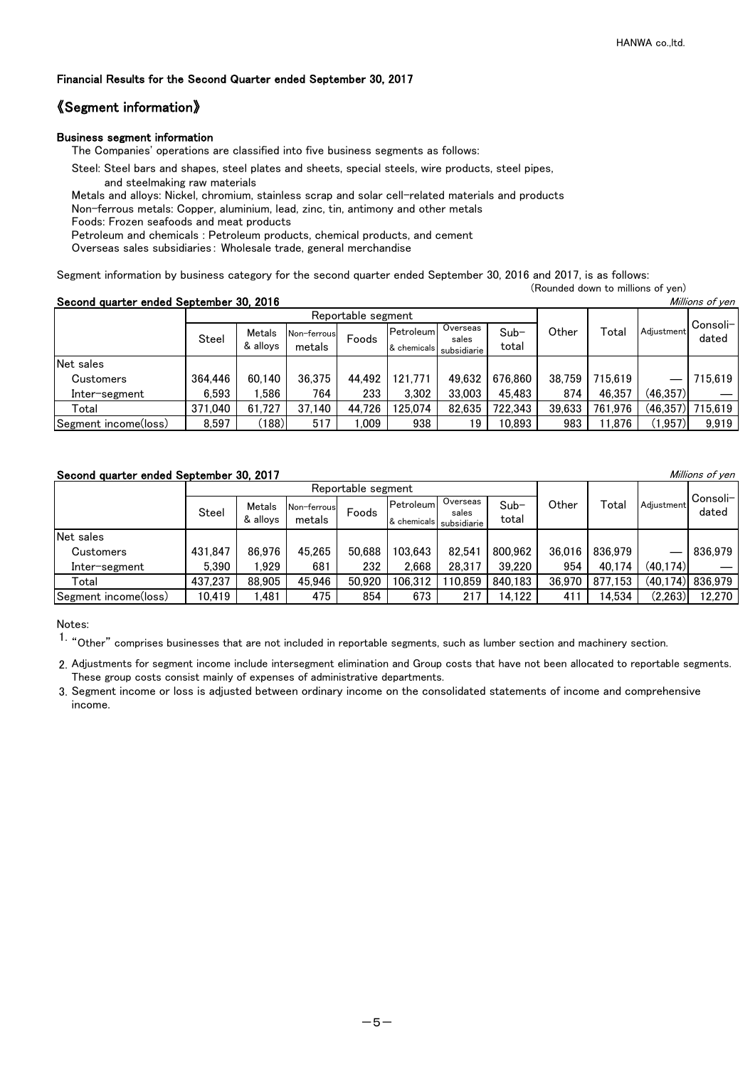### 《Segment information》

#### Business segment information

The Companies' operations are classified into five business segments as follows:

- Steel: Steel bars and shapes, steel plates and sheets, special steels, wire products, steel pipes,
	- and steelmaking raw materials
- Metals and alloys: Nickel, chromium, stainless scrap and solar cell-related materials and products
- Non-ferrous metals: Copper, aluminium, lead, zinc, tin, antimony and other metals

Foods: Frozen seafoods and meat products

Petroleum and chemicals : Petroleum products, chemical products, and cement

Overseas sales subsidiaries: Wholesale trade, general merchandise

Segment information by business category for the second quarter ended September 30, 2016 and 2017, is as follows: (Rounded down to millions of yen)

Second quarter ended September 30, 2016

| Second quarter enged September 30, ZOTO<br><i>IVIIIIIOIIS OI YEIT</i> |              |                    |                        |        |                           |                                  |                 |        |         |            |                   |
|-----------------------------------------------------------------------|--------------|--------------------|------------------------|--------|---------------------------|----------------------------------|-----------------|--------|---------|------------|-------------------|
|                                                                       |              | Reportable segment |                        |        |                           |                                  |                 |        |         |            |                   |
|                                                                       | <b>Steel</b> | Metals<br>& allovs | Non-ferrousl<br>metals | Foods  | Petroleuml<br>& chemicals | Overseas<br>sales<br>subsidiarie | $Sub-$<br>total | Other  | Total   | Adjustment | Consoli-<br>dated |
| Net sales                                                             |              |                    |                        |        |                           |                                  |                 |        |         |            |                   |
| Customers                                                             | 364,446      | 60.140             | 36.375                 | 44.492 | 121.771                   | 49.632                           | 676.860         | 38.759 | 715.619 |            | 715.619           |
| Inter-segment                                                         | 6.593        | .586               | 764                    | 233    | 3.302                     | 33,003                           | 45,483          | 874    | 46,357  | (46,357)   |                   |
| Total                                                                 | 371,040      | 61.727             | 37.140                 | 44.726 | 125,074                   | 82.635                           | 722,343         | 39.633 | 761,976 | (46, 357)  | 715.619           |
| Segment income(loss)                                                  | 8,597        | (188)              | 517                    | .009   | 938                       | 19                               | 10.893          | 983    | 11,876  | (1, 957)   | 9,919             |

### Second quarter ended September 30, 2017 Millions of yen

|                      |         | Reportable segment |             |        |               |                   |         |                 |         |            |                   |
|----------------------|---------|--------------------|-------------|--------|---------------|-------------------|---------|-----------------|---------|------------|-------------------|
|                      | Steel   | Metals             | Non-ferrous | Foods  | Petroleum     | Overseas<br>sales | $Sub-$  | Other           | Total   | Adiustment | Consoli-<br>dated |
|                      |         | & allovs<br>metals |             |        | & chemicals l | subsidiarie       | total   |                 |         |            |                   |
| Net sales            |         |                    |             |        |               |                   |         |                 |         |            |                   |
| <b>Customers</b>     | 431.847 | 86.976             | 45.265      | 50.688 | 103.643       | 82.541            | 800.962 | 36,016          | 836.979 |            | 836.979           |
| Inter-segment        | 5.390   | .929               | 681         | 232    | 2.668         | 28.317            | 39.220  | 954             | 40.174  | (40,174)   |                   |
| Total                | 437.237 | 88,905             | 45.946      | 50.920 | 106,312       | 110.859           | 840.183 | 36,970          | 877.153 |            | (40,174) 836,979  |
| Segment income(loss) | 10,419  | .481               | 475         | 854    | 673           | 217               | 14.122  | 41 <sup>2</sup> | 14.534  | (2,263)    | 12,270            |

Notes:

1. "Other" comprises businesses that are not included in reportable segments, such as lumber section and machinery section.

2. Adjustments for segment income include intersegment elimination and Group costs that have not been allocated to reportable segments. These group costs consist mainly of expenses of administrative departments.

3. Segment income or loss is adjusted between ordinary income on the consolidated statements of income and comprehensive income.